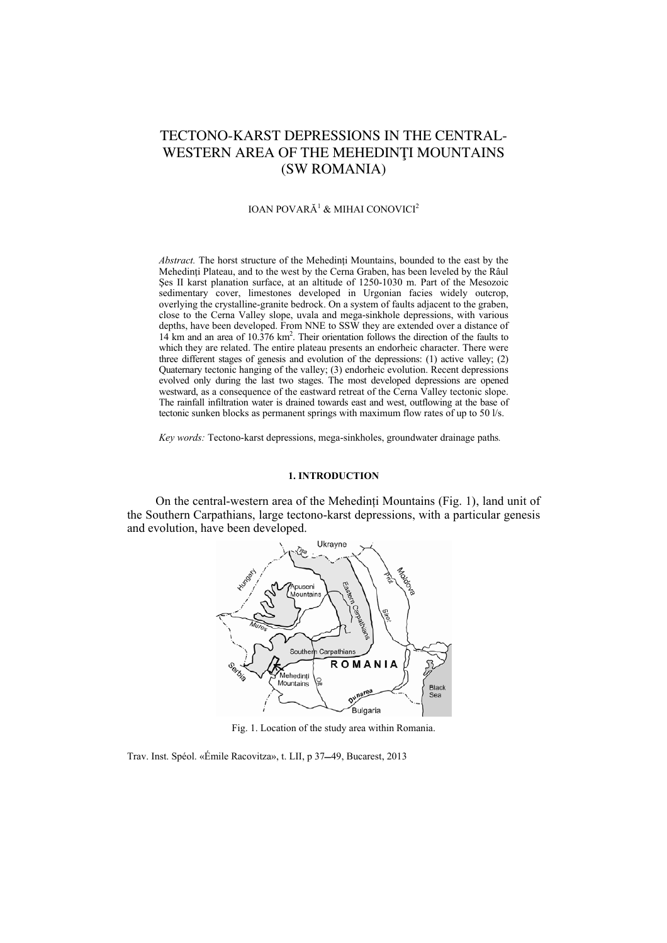# TECTONO-KARST DEPRESSIONS IN THE CENTRAL-WESTERN AREA OF THE MEHEDINŢI MOUNTAINS (SW ROMANIA)

#### IOAN POVARĂ<sup>1</sup> & MIHAI CONOVICI<sup>2</sup>

Abstract. The horst structure of the Mehedinți Mountains, bounded to the east by the Mehedinți Plateau, and to the west by the Cerna Graben, has been leveled by the Râul Şes II karst planation surface, at an altitude of 1250-1030 m. Part of the Mesozoic sedimentary cover, limestones developed in Urgonian facies widely outcrop, overlying the crystalline-granite bedrock. On a system of faults adjacent to the graben, close to the Cerna Valley slope, uvala and mega-sinkhole depressions, with various depths, have been developed. From NNE to SSW they are extended over a distance of 14 km and an area of 10.376 km2 . Their orientation follows the direction of the faults to which they are related. The entire plateau presents an endorheic character. There were three different stages of genesis and evolution of the depressions: (1) active valley; (2) Quaternary tectonic hanging of the valley; (3) endorheic evolution. Recent depressions evolved only during the last two stages. The most developed depressions are opened westward, as a consequence of the eastward retreat of the Cerna Valley tectonic slope. The rainfall infiltration water is drained towards east and west, outflowing at the base of tectonic sunken blocks as permanent springs with maximum flow rates of up to 50 l/s.

*Key words:* Tectono-karst depressions, mega-sinkholes, groundwater drainage paths*.*

#### **1. INTRODUCTION**

On the central-western area of the Mehedinţi Mountains (Fig. 1), land unit of the Southern Carpathians, large tectono-karst depressions, with a particular genesis and evolution, have been developed.



Fig. 1. Location of the study area within Romania.

Trav. Inst. Spéol. «Émile Racovitza», t. LII, p 37–49, Bucarest, 2013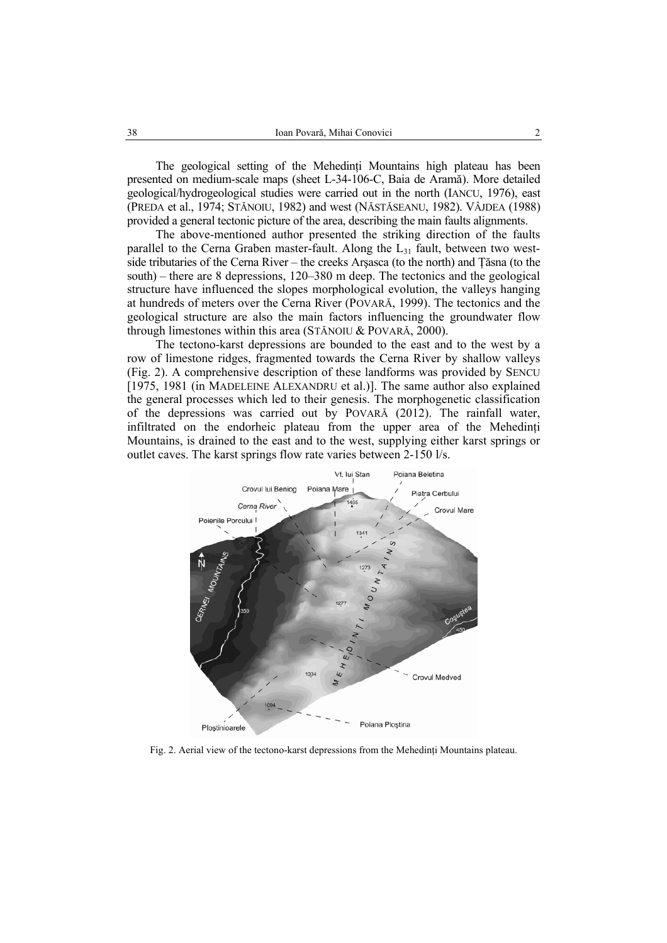The geological setting of the Mehedinți Mountains high plateau has been presented on medium-scale maps (sheet L-34-106-C, Baia de Aramă). More detailed geological/hydrogeological studies were carried out in the north (IANCU, 1976), east (PREDA et al., 1974; STĂNOIU, 1982) and west (NĂSTĂSEANU, 1982). VÂJDEA (1988) provided a general tectonic picture of the area, describing the main faults alignments.

The above-mentioned author presented the striking direction of the faults parallel to the Cerna Graben master-fault. Along the  $L_{31}$  fault, between two westside tributaries of the Cerna River – the creeks Arşasca (to the north) and Ţăsna (to the south) – there are 8 depressions, 120–380 m deep. The tectonics and the geological structure have influenced the slopes morphological evolution, the valleys hanging at hundreds of meters over the Cerna River (POVARĂ, 1999). The tectonics and the geological structure are also the main factors influencing the groundwater flow through limestones within this area (STĂNOIU & POVARĂ, 2000).

The tectono-karst depressions are bounded to the east and to the west by a row of limestone ridges, fragmented towards the Cerna River by shallow valleys (Fig. 2). A comprehensive description of these landforms was provided by SENCU [1975, 1981 (in MADELEINE ALEXANDRU et al.)]. The same author also explained the general processes which led to their genesis. The morphogenetic classification of the depressions was carried out by POVARĂ (2012). The rainfall water, infiltrated on the endorheic plateau from the upper area of the Mehedinti Mountains, is drained to the east and to the west, supplying either karst springs or outlet caves. The karst springs flow rate varies between 2-150 l/s.



Fig. 2. Aerial view of the tectono-karst depressions from the Mehedinţi Mountains plateau.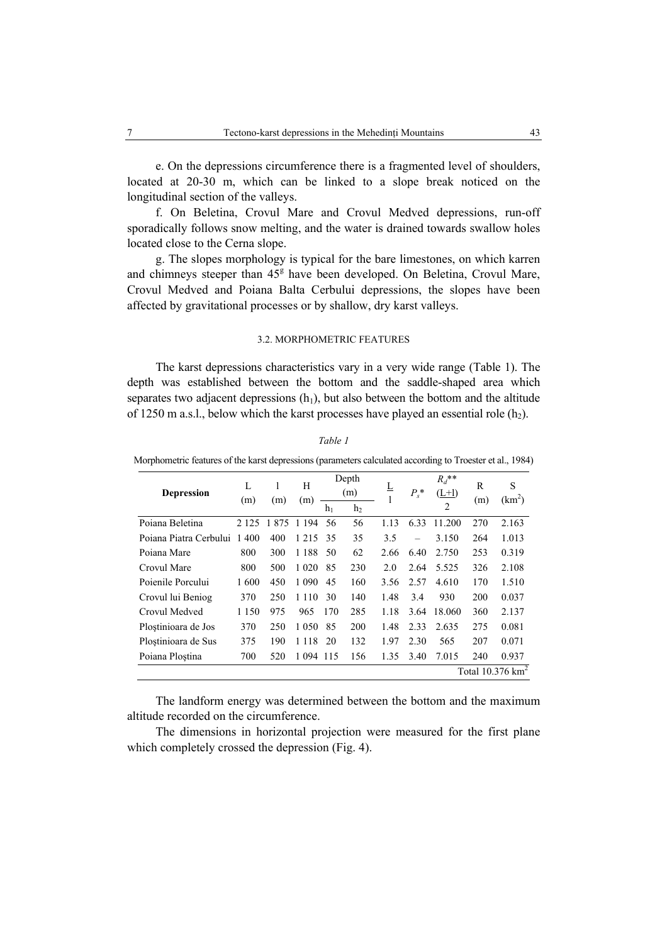e. On the depressions circumference there is a fragmented level of shoulders, located at 20-30 m, which can be linked to a slope break noticed on the longitudinal section of the valleys.

f. On Beletina, Crovul Mare and Crovul Medved depressions, run-off sporadically follows snow melting, and the water is drained towards swallow holes located close to the Cerna slope.

g. The slopes morphology is typical for the bare limestones, on which karren and chimneys steeper than  $45<sup>g</sup>$  have been developed. On Beletina, Crovul Mare, Crovul Medved and Poiana Balta Cerbului depressions, the slopes have been affected by gravitational processes or by shallow, dry karst valleys.

#### 3.2. MORPHOMETRIC FEATURES

The karst depressions characteristics vary in a very wide range (Table 1). The depth was established between the bottom and the saddle-shaped area which separates two adjacent depressions  $(h_1)$ , but also between the bottom and the altitude of 1250 m a.s.l., below which the karst processes have played an essential role  $(h_2)$ .

| <b>Depression</b>           | L<br>(m) | (m)      | Н<br>(m) | $h_1$ | Depth<br>(m)<br>h <sub>2</sub> | ╩    | $P_s^*$                  | $R_d$ **<br>$(L+1)$<br>$\overline{2}$ | R<br>(m) | S<br>(km <sup>2</sup> ) |
|-----------------------------|----------|----------|----------|-------|--------------------------------|------|--------------------------|---------------------------------------|----------|-------------------------|
| Poiana Beletina             | 2 1 2 5  | 875<br>1 | 1 1 9 4  | 56    | 56                             | 1.13 | 6.33                     | 11.200                                | 270      | 2.163                   |
| Poiana Piatra Cerbului      | 400<br>1 | 400      | 1 2 1 5  | 35    | 35                             | 3.5  | $\overline{\phantom{0}}$ | 3.150                                 | 264      | 1.013                   |
| Poiana Mare                 | 800      | 300      | 1 1 8 8  | 50    | 62                             | 2.66 | 6.40                     | 2.750                                 | 253      | 0.319                   |
| Crovul Mare                 | 800      | 500      | 1 0 2 0  | 85    | 230                            | 2.0  | 2.64                     | 5.525                                 | 326      | 2.108                   |
| Poienile Porcului           | 1600     | 450      | 1 0 9 0  | 45    | 160                            | 3.56 | 2.57                     | 4.610                                 | 170      | 1.510                   |
| Crovul lui Beniog           | 370      | 250      | 1 1 1 0  | 30    | 140                            | 1.48 | 3.4                      | 930                                   | 200      | 0.037                   |
| Crovul Medved               | 1 1 5 0  | 975      | 965      | 170   | 285                            | 1.18 | 3.64                     | 18.060                                | 360      | 2.137                   |
| Plostinioara de Jos         | 370      | 250      | 1 0 5 0  | 85    | 200                            | 1.48 | 2.33                     | 2.635                                 | 275      | 0.081                   |
| Plostinioara de Sus         | 375      | 190      | 1 1 1 8  | 20    | 132                            | 1.97 | 2.30                     | 565                                   | 207      | 0.071                   |
| Poiana Ploștina             | 700      | 520      | 1 0 9 4  | 115   | 156                            | 1.35 | 3.40                     | 7.015                                 | 240      | 0.937                   |
| Total $10.376 \text{ km}^2$ |          |          |          |       |                                |      |                          |                                       |          |                         |

## *Table 1*

Morphometric features of the karst depressions (parameters calculated according to Troester et al., 1984)

The landform energy was determined between the bottom and the maximum altitude recorded on the circumference.

The dimensions in horizontal projection were measured for the first plane which completely crossed the depression (Fig. 4).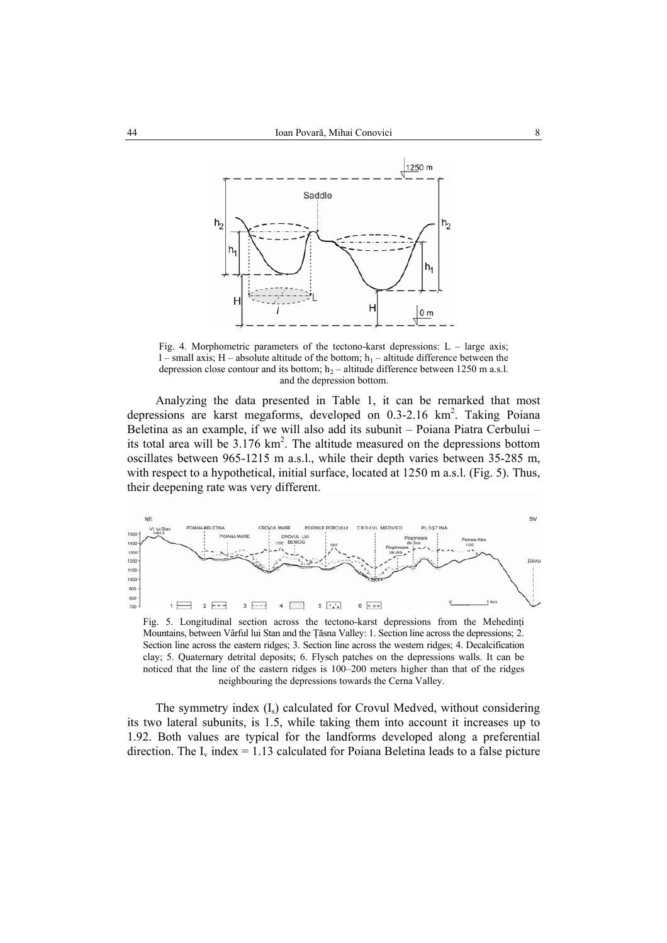

Fig. 4. Morphometric parameters of the tectono-karst depressions:  $L - \text{large axis}$ ; l – small axis; H – absolute altitude of the bottom;  $h_1$  – altitude difference between the depression close contour and its bottom;  $h_2$  – altitude difference between 1250 m a.s.l. and the depression bottom.

Analyzing the data presented in Table 1, it can be remarked that most depressions are karst megaforms, developed on  $0.3$ -2.16 km<sup>2</sup>. Taking Poiana Beletina as an example, if we will also add its subunit – Poiana Piatra Cerbului – its total area will be  $3.176 \text{ km}^2$ . The altitude measured on the depressions bottom oscillates between 965-1215 m a.s.l., while their depth varies between 35-285 m, with respect to a hypothetical, initial surface, located at 1250 m a.s.l. (Fig. 5). Thus, their deepening rate was very different.



Fig. 5. Longitudinal section across the tectono-karst depressions from the Mehedinţi Mountains, between Vârful lui Stan and the Ţăsna Valley: 1. Section line across the depressions; 2. Section line across the eastern ridges; 3. Section line across the western ridges; 4. Decalcification clay; 5. Quaternary detrital deposits; 6. Flysch patches on the depressions walls. It can be noticed that the line of the eastern ridges is 100–200 meters higher than that of the ridges neighbouring the depressions towards the Cerna Valley.

The symmetry index  $(I<sub>s</sub>)$  calculated for Crovul Medved, without considering its two lateral subunits, is 1.5, while taking them into account it increases up to 1.92. Both values are typical for the landforms developed along a preferential direction. The  $I_v$  index = 1.13 calculated for Poiana Beletina leads to a false picture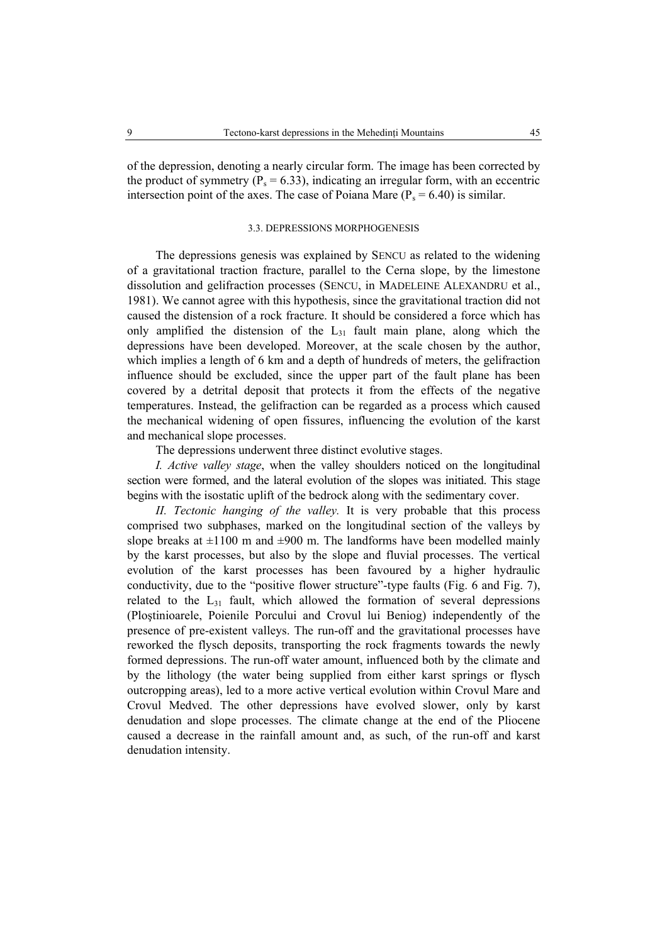of the depression, denoting a nearly circular form. The image has been corrected by the product of symmetry ( $P_s = 6.33$ ), indicating an irregular form, with an eccentric intersection point of the axes. The case of Poiana Mare  $(P_s = 6.40)$  is similar.

## 3.3. DEPRESSIONS MORPHOGENESIS

The depressions genesis was explained by SENCU as related to the widening of a gravitational traction fracture, parallel to the Cerna slope, by the limestone dissolution and gelifraction processes (SENCU, in MADELEINE ALEXANDRU et al., 1981). We cannot agree with this hypothesis, since the gravitational traction did not caused the distension of a rock fracture. It should be considered a force which has only amplified the distension of the  $L_{31}$  fault main plane, along which the depressions have been developed. Moreover, at the scale chosen by the author, which implies a length of 6 km and a depth of hundreds of meters, the gelifraction influence should be excluded, since the upper part of the fault plane has been covered by a detrital deposit that protects it from the effects of the negative temperatures. Instead, the gelifraction can be regarded as a process which caused the mechanical widening of open fissures, influencing the evolution of the karst and mechanical slope processes.

The depressions underwent three distinct evolutive stages.

*I. Active valley stage*, when the valley shoulders noticed on the longitudinal section were formed, and the lateral evolution of the slopes was initiated. This stage begins with the isostatic uplift of the bedrock along with the sedimentary cover.

*II. Tectonic hanging of the valley.* It is very probable that this process comprised two subphases, marked on the longitudinal section of the valleys by slope breaks at  $\pm 1100$  m and  $\pm 900$  m. The landforms have been modelled mainly by the karst processes, but also by the slope and fluvial processes. The vertical evolution of the karst processes has been favoured by a higher hydraulic conductivity, due to the "positive flower structure"-type faults (Fig. 6 and Fig. 7), related to the  $L_{31}$  fault, which allowed the formation of several depressions (Ploştinioarele, Poienile Porcului and Crovul lui Beniog) independently of the presence of pre-existent valleys. The run-off and the gravitational processes have reworked the flysch deposits, transporting the rock fragments towards the newly formed depressions. The run-off water amount, influenced both by the climate and by the lithology (the water being supplied from either karst springs or flysch outcropping areas), led to a more active vertical evolution within Crovul Mare and Crovul Medved. The other depressions have evolved slower, only by karst denudation and slope processes. The climate change at the end of the Pliocene caused a decrease in the rainfall amount and, as such, of the run-off and karst denudation intensity.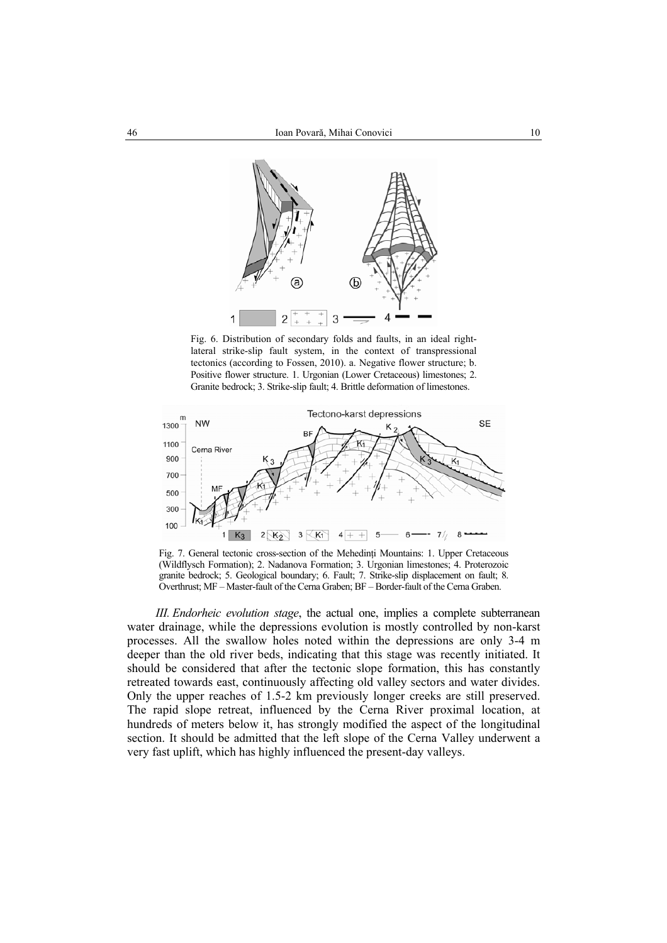

Fig. 6. Distribution of secondary folds and faults, in an ideal rightlateral strike-slip fault system, in the context of transpressional tectonics (according to Fossen, 2010). a. Negative flower structure; b. Positive flower structure. 1. Urgonian (Lower Cretaceous) limestones; 2. Granite bedrock; 3. Strike-slip fault; 4. Brittle deformation of limestones.



Fig. 7. General tectonic cross-section of the Mehedinti Mountains: 1. Upper Cretaceous (Wildflysch Formation); 2. Nadanova Formation; 3. Urgonian limestones; 4. Proterozoic granite bedrock; 5. Geological boundary; 6. Fault; 7. Strike-slip displacement on fault; 8. Overthrust; MF – Master-fault of the Cerna Graben; BF – Border-fault of the Cerna Graben.

*III. Endorheic evolution stage*, the actual one, implies a complete subterranean water drainage, while the depressions evolution is mostly controlled by non-karst processes. All the swallow holes noted within the depressions are only 3-4 m deeper than the old river beds, indicating that this stage was recently initiated. It should be considered that after the tectonic slope formation, this has constantly retreated towards east, continuously affecting old valley sectors and water divides. Only the upper reaches of 1.5-2 km previously longer creeks are still preserved. The rapid slope retreat, influenced by the Cerna River proximal location, at hundreds of meters below it, has strongly modified the aspect of the longitudinal section. It should be admitted that the left slope of the Cerna Valley underwent a very fast uplift, which has highly influenced the present-day valleys.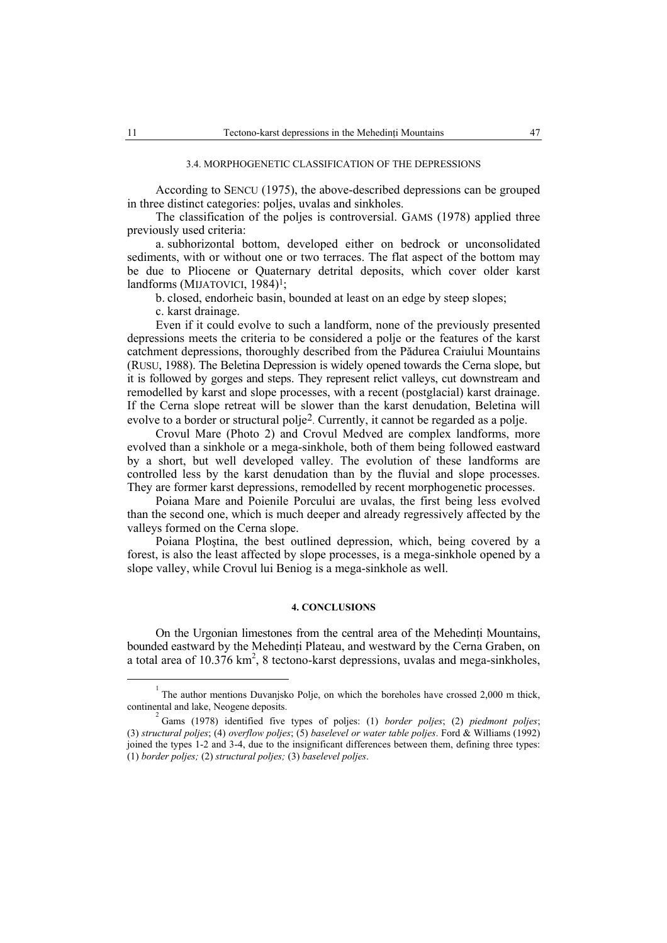#### 3.4. MORPHOGENETIC CLASSIFICATION OF THE DEPRESSIONS

According to SENCU (1975), the above-described depressions can be grouped in three distinct categories: poljes, uvalas and sinkholes.

The classification of the poljes is controversial. GAMS (1978) applied three previously used criteria:

a. subhorizontal bottom, developed either on bedrock or unconsolidated sediments, with or without one or two terraces. The flat aspect of the bottom may be due to Pliocene or Quaternary detrital deposits, which cover older karst landforms (MIJATOVICI, 1984)<sup>1</sup>;

b. closed, endorheic basin, bounded at least on an edge by steep slopes;

c. karst drainage.

Even if it could evolve to such a landform, none of the previously presented depressions meets the criteria to be considered a polje or the features of the karst catchment depressions, thoroughly described from the Pădurea Craiului Mountains (RUSU, 1988). The Beletina Depression is widely opened towards the Cerna slope, but it is followed by gorges and steps. They represent relict valleys, cut downstream and remodelled by karst and slope processes, with a recent (postglacial) karst drainage. If the Cerna slope retreat will be slower than the karst denudation, Beletina will evolve to a border or structural polje2. Currently, it cannot be regarded as a polje.

Crovul Mare (Photo 2) and Crovul Medved are complex landforms, more evolved than a sinkhole or a mega-sinkhole, both of them being followed eastward by a short, but well developed valley. The evolution of these landforms are controlled less by the karst denudation than by the fluvial and slope processes. They are former karst depressions, remodelled by recent morphogenetic processes.

Poiana Mare and Poienile Porcului are uvalas, the first being less evolved than the second one, which is much deeper and already regressively affected by the valleys formed on the Cerna slope.

Poiana Ploştina, the best outlined depression, which, being covered by a forest, is also the least affected by slope processes, is a mega-sinkhole opened by a slope valley, while Crovul lui Beniog is a mega-sinkhole as well.

## **4. CONCLUSIONS**

On the Urgonian limestones from the central area of the Mehedinți Mountains, bounded eastward by the Mehedinti Plateau, and westward by the Cerna Graben, on a total area of  $10.376 \text{ km}^2$ , 8 tectono-karst depressions, uvalas and mega-sinkholes,

 $\frac{1}{1}$ <sup>1</sup> The author mentions Duvanjsko Polje, on which the boreholes have crossed 2,000 m thick, continental and lake. Neogene deposits.

Gams (1978) identified five types of poljes: (1) *border poljes*; (2) *piedmont poljes*; (3) *structural poljes*; (4) *overflow poljes*; (5) *baselevel or water table poljes*. Ford & Williams (1992) joined the types 1-2 and 3-4, due to the insignificant differences between them, defining three types: (1) *border poljes;* (2) *structural poljes;* (3) *baselevel poljes*.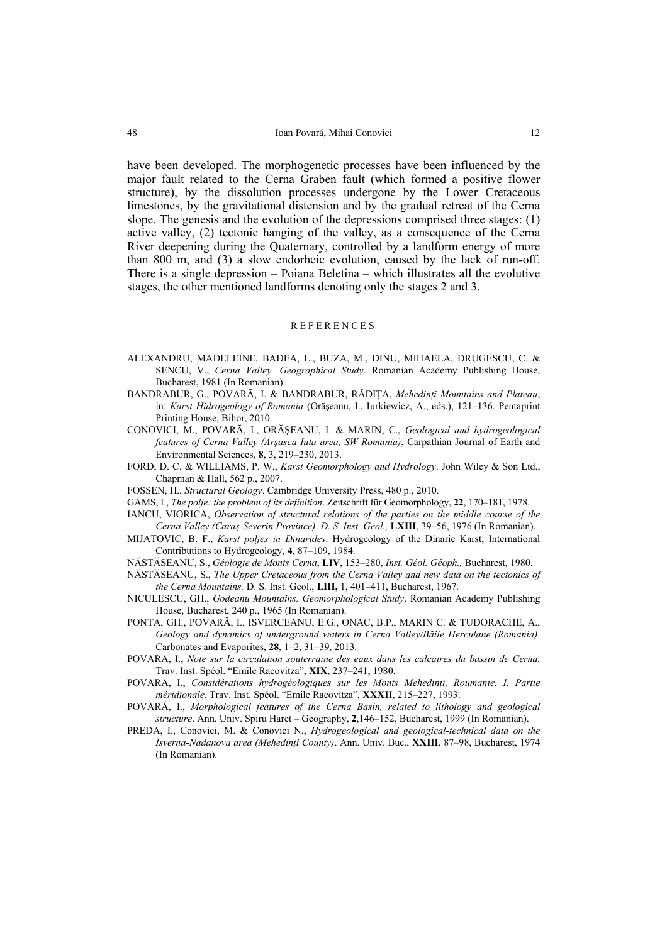have been developed. The morphogenetic processes have been influenced by the major fault related to the Cerna Graben fault (which formed a positive flower structure), by the dissolution processes undergone by the Lower Cretaceous limestones, by the gravitational distension and by the gradual retreat of the Cerna slope. The genesis and the evolution of the depressions comprised three stages: (1) active valley, (2) tectonic hanging of the valley, as a consequence of the Cerna River deepening during the Quaternary, controlled by a landform energy of more than 800 m, and (3) a slow endorheic evolution, caused by the lack of run-off. There is a single depression – Poiana Beletina – which illustrates all the evolutive stages, the other mentioned landforms denoting only the stages 2 and 3.

#### **REFERENCES**

- ALEXANDRU, MADELEINE, BADEA, L., BUZA, M., DINU, MIHAELA, DRUGESCU, C. & SENCU, V., *Cerna Valley. Geographical Study*. Romanian Academy Publishing House, Bucharest, 1981 (In Romanian).
- BANDRABUR, G., POVARĂ, I. & BANDRABUR, RĂDIŢA, *Mehedinţi Mountains and Plateau*, in: *Karst Hidrogeology of Romania* (Orăşeanu, I., Iurkiewicz, A., eds.), 121–136. Pentaprint Printing House, Bihor, 2010.
- CONOVICI, M., POVARĂ, I., ORĂŞEANU, I. & MARIN, C., *Geological and hydrogeological features of Cerna Valley (Arşasca-Iuta area, SW Romania)*, Carpathian Journal of Earth and Environmental Sciences, **8**, 3, 219–230, 2013.
- FORD, D. C. & WILLIAMS, P. W., *Karst Geomorphology and Hydrology*. John Wiley & Son Ltd., Chapman & Hall, 562 p., 2007.
- FOSSEN, H., *Structural Geology*. Cambridge University Press, 480 p., 2010.
- GAMS, I., *The polje: the problem of its definition*. Zeitschrift für Geomorphology, **22**, 170–181, 1978.
- IANCU, VIORICA, *Observation of structural relations of the parties on the middle course of the Cerna Valley (Caraş-Severin Province)*. *D. S. Inst. Geol.,* **LXIII**, 39–56, 1976 (In Romanian).
- MIJATOVIC, B. F., *Karst poljes in Dinarides*. Hydrogeology of the Dinaric Karst, International Contributions to Hydrogeology, **4**, 87–109, 1984.
- NĂSTĂSEANU, S., *Géologie de Monts Cerna*, **LIV**, 153–280, *Inst. Géol. Géoph.,* Bucharest, 1980.
- NĂSTĂSEANU, S., *The Upper Cretaceous from the Cerna Valley and new data on the tectonics of the Cerna Mountains.* D. S. Inst. Geol., **LIII,** 1, 401–411, Bucharest, 1967.
- NICULESCU, GH., *Godeanu Mountains. Geomorphological Study*. Romanian Academy Publishing House, Bucharest, 240 p., 1965 (In Romanian).
- PONTA, GH., POVARĂ, I., ISVERCEANU, E.G., ONAC, B.P., MARIN C. & TUDORACHE, A., *Geology and dynamics of underground waters in Cerna Valley/Băile Herculane (Romania)*. Carbonates and Evaporites, **28**, 1–2, 31–39, 2013.
- POVARA, I., *Note sur la circulation souterraine des eaux dans les calcaires du bassin de Cerna.*  Trav. Inst. Spéol. "Emile Racovitza", **XIX**, 237–241, 1980.
- POVARA, I., *Considérations hydrogéologiques sur les Monts Mehedinti, Roumanie, I. Partie méridionale*. Trav. Inst. Spéol. "Emile Racovitza", **XXXII**, 215–227, 1993.
- POVARĂ, I., *Morphological features of the Cerna Basin, related to lithology and geological structure*. Ann. Univ. Spiru Haret – Geography, **2**,146–152, Bucharest, 1999 (In Romanian).
- PREDA, I., Conovici, M. & Conovici N., *Hydrogeological and geological-technical data on the Isverna-Nadanova area (Mehedinţi County)*. Ann. Univ. Buc., **XXIII**, 87–98, Bucharest, 1974 (In Romanian).